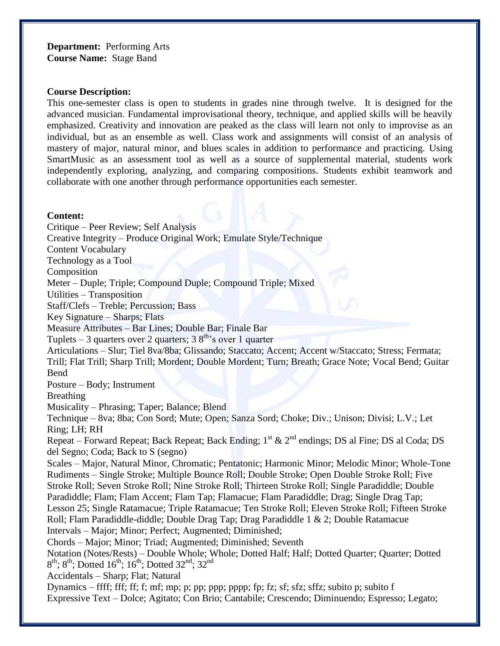**Department:** Performing Arts **Course Name:** Stage Band

#### **Course Description:**

This one-semester class is open to students in grades nine through twelve. It is designed for the advanced musician. Fundamental improvisational theory, technique, and applied skills will be heavily emphasized. Creativity and innovation are peaked as the class will learn not only to improvise as an individual, but as an ensemble as well. Class work and assignments will consist of an analysis of mastery of major, natural minor, and blues scales in addition to performance and practicing. Using SmartMusic as an assessment tool as well as a source of supplemental material, students work independently exploring, analyzing, and comparing compositions. Students exhibit teamwork and collaborate with one another through performance opportunities each semester.

#### **Content:**

Critique – Peer Review; Self Analysis Creative Integrity – Produce Original Work; Emulate Style/Technique Content Vocabulary Technology as a Tool Composition Meter – Duple; Triple; Compound Duple; Compound Triple; Mixed Utilities – Transposition Staff/Clefs – Treble; Percussion; Bass Key Signature – Sharps; Flats Measure Attributes – Bar Lines; Double Bar; Finale Bar Tuplets – 3 quarters over 2 quarters;  $38<sup>th</sup>$ 's over 1 quarter Articulations – Slur; Tiel 8va/8ba; Glissando; Staccato; Accent; Accent w/Staccato; Stress; Fermata; Trill; Flat Trill; Sharp Trill; Mordent; Double Mordent; Turn; Breath; Grace Note; Vocal Bend; Guitar Bend Posture – Body; Instrument Breathing Musicality – Phrasing; Taper; Balance; Blend Technique – 8va; 8ba; Con Sord; Mute; Open; Sanza Sord; Choke; Div.; Unison; Divisi; L.V.; Let Ring; LH; RH Repeat – Forward Repeat; Back Repeat; Back Ending;  $1^{st}$  &  $2^{nd}$  endings; DS al Fine; DS al Coda; DS del Segno; Coda; Back to S (segno) Scales – Major, Natural Minor, Chromatic; Pentatonic; Harmonic Minor; Melodic Minor; Whole-Tone Rudiments – Single Stroke; Multiple Bounce Roll; Double Stroke; Open Double Stroke Roll; Five Stroke Roll; Seven Stroke Roll; Nine Stroke Roll; Thirteen Stroke Roll; Single Paradiddle; Double Paradiddle; Flam; Flam Accent; Flam Tap; Flamacue; Flam Paradiddle; Drag; Single Drag Tap; Lesson 25; Single Ratamacue; Triple Ratamacue; Ten Stroke Roll; Eleven Stroke Roll; Fifteen Stroke Roll; Flam Paradiddle-diddle; Double Drag Tap; Drag Paradiddle 1 & 2; Double Ratamacue Intervals – Major; Minor; Perfect; Augmented; Diminished; Chords – Major; Minor; Triad; Augmented; Diminished; Seventh Notation (Notes/Rests) – Double Whole; Whole; Dotted Half; Half; Dotted Quarter; Quarter; Dotted  $8<sup>th</sup>$ ;  $8<sup>th</sup>$ ; Dotted 16<sup>th</sup>; 16<sup>th</sup>; Dotted 32<sup>nd</sup>; 32<sup>nd</sup> Accidentals – Sharp; Flat; Natural Dynamics – ffff; fff; ff; f; mf; mp; p; pp; ppp; pppp; fp; fz; sf; sfz; sffz; subito p; subito f Expressive Text – Dolce; Agitato; Con Brio; Cantabile; Crescendo; Diminuendo; Espresso; Legato;